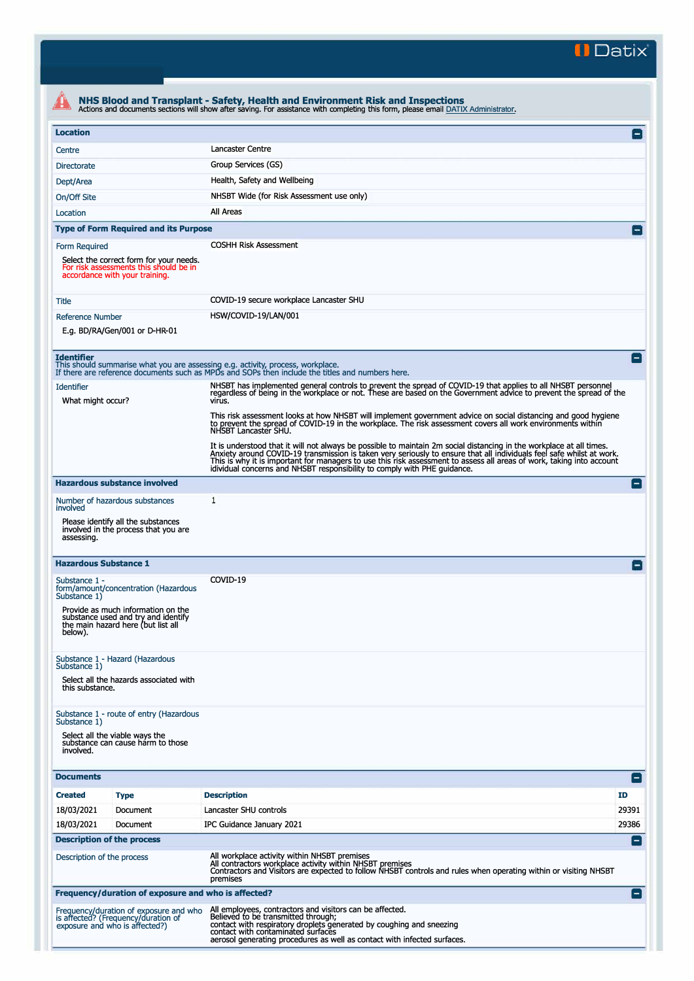**II Datix"** 

| <b>Location</b>                                                                                                                             |                                                                                                                                                                                                                                                                                                               |                    |  |  |  |
|---------------------------------------------------------------------------------------------------------------------------------------------|---------------------------------------------------------------------------------------------------------------------------------------------------------------------------------------------------------------------------------------------------------------------------------------------------------------|--------------------|--|--|--|
|                                                                                                                                             |                                                                                                                                                                                                                                                                                                               |                    |  |  |  |
| Centre                                                                                                                                      | Lancaster Centre                                                                                                                                                                                                                                                                                              |                    |  |  |  |
| <b>Directorate</b>                                                                                                                          | Group Services (GS)                                                                                                                                                                                                                                                                                           |                    |  |  |  |
| Dept/Area                                                                                                                                   | Health, Safety and Wellbeing                                                                                                                                                                                                                                                                                  |                    |  |  |  |
| On/Off Site                                                                                                                                 | NHSBT Wide (for Risk Assessment use only)                                                                                                                                                                                                                                                                     |                    |  |  |  |
| Location                                                                                                                                    | All Areas                                                                                                                                                                                                                                                                                                     |                    |  |  |  |
| <b>Type of Form Required and its Purpose</b>                                                                                                |                                                                                                                                                                                                                                                                                                               |                    |  |  |  |
| <b>Form Required</b><br>Select the correct form for your needs.<br>For risk assessments this should be in<br>accordance with your training. | <b>COSHH Risk Assessment</b>                                                                                                                                                                                                                                                                                  |                    |  |  |  |
| Title                                                                                                                                       | COVID-19 secure workplace Lancaster SHU                                                                                                                                                                                                                                                                       |                    |  |  |  |
| <b>Reference Number</b>                                                                                                                     | HSW/COVID-19/LAN/001                                                                                                                                                                                                                                                                                          |                    |  |  |  |
| E.g. BD/RA/Gen/001 or D-HR-01                                                                                                               |                                                                                                                                                                                                                                                                                                               |                    |  |  |  |
| <b>Identifier</b>                                                                                                                           | This should summarise what you are assessing e.g. activity, process, workplace.<br>If there are reference documents such as MPDs and SOPs then include the titles and numbers here.                                                                                                                           | $\vert - \vert$    |  |  |  |
| Identifier<br>What might occur?                                                                                                             | NHSBT has implemented general controls to prevent the spread of COVID-19 that applies to all NHSBT personnel<br>regardless of being in the workplace or not. These are based on the Government advice to prevent the spread of the<br>virus.                                                                  |                    |  |  |  |
|                                                                                                                                             | This risk assessment looks at how NHSBT will implement government advice on social distancing and good hygiene<br>to prevent the spread of COVID-19 in the workplace. The risk assessment covers all work environments within<br>NHSBT Lancaster SHU.                                                         |                    |  |  |  |
|                                                                                                                                             | It is understood that it will not always be possible to maintain 2m social distancing in the workplace at all times.<br>Anxiety around COVID-19 transmission is taken very seriously to ensure that all individuals feel safe whi<br>idividual concerns and NHSBT responsibility to comply with PHE guidance. |                    |  |  |  |
| <b>Hazardous substance involved</b>                                                                                                         |                                                                                                                                                                                                                                                                                                               | $\left  - \right $ |  |  |  |
| Number of hazardous substances<br>involved<br>Please identify all the substances                                                            | 1                                                                                                                                                                                                                                                                                                             |                    |  |  |  |
| involved in the process that you are<br>assessing.                                                                                          |                                                                                                                                                                                                                                                                                                               |                    |  |  |  |
| <b>Hazardous Substance 1</b>                                                                                                                |                                                                                                                                                                                                                                                                                                               |                    |  |  |  |
| Substance 1 -<br>form/amount/concentration (Hazardous<br>Substance 1)                                                                       | COVID-19                                                                                                                                                                                                                                                                                                      |                    |  |  |  |
| Provide as much information on the<br>substance used and try and identify<br>the main hazard here (but list all<br>below).                  |                                                                                                                                                                                                                                                                                                               |                    |  |  |  |
| Substance 1 - Hazard (Hazardous<br>Substance 1)                                                                                             |                                                                                                                                                                                                                                                                                                               |                    |  |  |  |
| Select all the hazards associated with<br>this substance.                                                                                   |                                                                                                                                                                                                                                                                                                               |                    |  |  |  |
| Substance 1 - route of entry (Hazardous<br>Substance 1)<br>Select all the viable ways the<br>substance can cause harm to those<br>involved. |                                                                                                                                                                                                                                                                                                               |                    |  |  |  |
| <b>Documents</b>                                                                                                                            |                                                                                                                                                                                                                                                                                                               | E                  |  |  |  |
| <b>Created</b>                                                                                                                              | <b>Description</b>                                                                                                                                                                                                                                                                                            | <b>ID</b>          |  |  |  |
| <b>Type</b><br>Document                                                                                                                     | Lancaster SHU controls                                                                                                                                                                                                                                                                                        | 29391              |  |  |  |
| 18/03/2021<br>18/03/2021<br>Document                                                                                                        | IPC Guidance January 2021                                                                                                                                                                                                                                                                                     | 29386              |  |  |  |
| <b>Description of the process</b>                                                                                                           |                                                                                                                                                                                                                                                                                                               |                    |  |  |  |
| Description of the process                                                                                                                  | All workplace activity within NHSBT premises<br>All contractors workplace activity within NHSBT premises<br>Contractors and Visitors are expected to follow NHSBT controls and rules when operating within or visiting NHSBT<br>premises                                                                      | E                  |  |  |  |
| Frequency/duration of exposure and who is affected?                                                                                         |                                                                                                                                                                                                                                                                                                               | Ξ                  |  |  |  |
| Frequency/duration of exposure and who<br>is affected? (Frequency/duration of<br>exposure and who is affected?)                             | All employees, contractors and visitors can be affected.<br>Believed to be transmitted through;<br>contact with respiratory droplets generated by coughing and sneezing<br>contact with contaminated surfaces                                                                                                 |                    |  |  |  |